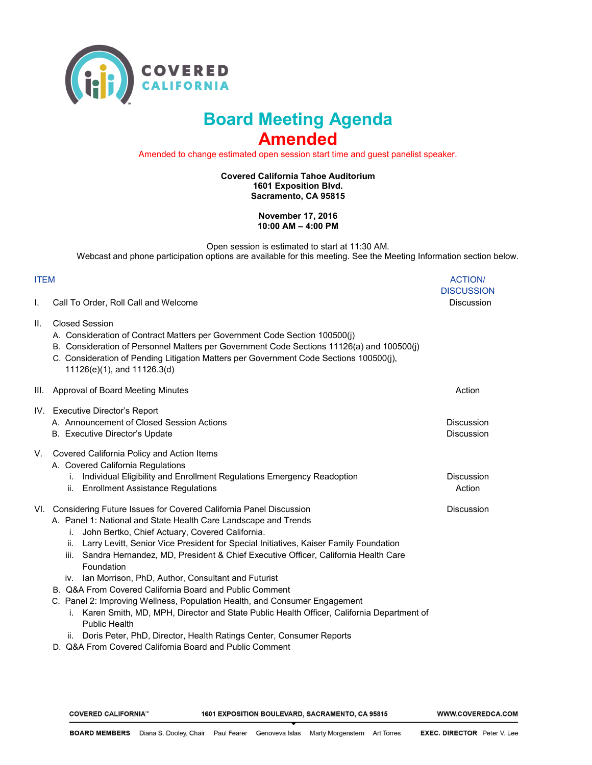

## **Board Meeting Agenda Amended**

Amended to change estimated open session start time and guest panelist speaker.

**Covered California Tahoe Auditorium 1601 Exposition Blvd. Sacramento, CA 95815** 

> **November 17, 2016 10:00 AM – 4:00 PM**

Open session is estimated to start at 11:30 AM. Webcast and phone participation options are available for this meeting. See the Meeting Information section below.

## ITEM ACTION/

| I.  | Call To Order, Roll Call and Welcome                                                                                                                                                                                                                                                                                                                                                                                                                             | <b>DISCUSSION</b><br><b>Discussion</b> |
|-----|------------------------------------------------------------------------------------------------------------------------------------------------------------------------------------------------------------------------------------------------------------------------------------------------------------------------------------------------------------------------------------------------------------------------------------------------------------------|----------------------------------------|
| II. | <b>Closed Session</b><br>A. Consideration of Contract Matters per Government Code Section 100500(j)<br>B. Consideration of Personnel Matters per Government Code Sections 11126(a) and 100500(j)<br>C. Consideration of Pending Litigation Matters per Government Code Sections 100500(j),<br>11126(e)(1), and 11126.3(d)                                                                                                                                        |                                        |
|     | III. Approval of Board Meeting Minutes                                                                                                                                                                                                                                                                                                                                                                                                                           | Action                                 |
|     | IV. Executive Director's Report<br>A. Announcement of Closed Session Actions<br>B. Executive Director's Update                                                                                                                                                                                                                                                                                                                                                   | <b>Discussion</b><br><b>Discussion</b> |
| V.  | Covered California Policy and Action Items<br>A. Covered California Regulations<br>Individual Eligibility and Enrollment Regulations Emergency Readoption<br>i.<br>ii. Enrollment Assistance Regulations                                                                                                                                                                                                                                                         | <b>Discussion</b><br>Action            |
|     | VI. Considering Future Issues for Covered California Panel Discussion<br>A. Panel 1: National and State Health Care Landscape and Trends<br>John Bertko, Chief Actuary, Covered California.<br>İ.<br>ii. Larry Levitt, Senior Vice President for Special Initiatives, Kaiser Family Foundation<br>iii. Sandra Hernandez, MD, President & Chief Executive Officer, California Health Care<br>Foundation<br>iv. Ian Morrison, PhD, Author, Consultant and Futurist | <b>Discussion</b>                      |
|     | B. Q&A From Covered California Board and Public Comment                                                                                                                                                                                                                                                                                                                                                                                                          |                                        |
|     | C. Panel 2: Improving Wellness, Population Health, and Consumer Engagement<br>Karen Smith, MD, MPH, Director and State Public Health Officer, California Department of<br>i.<br><b>Public Health</b>                                                                                                                                                                                                                                                             |                                        |
|     | Doris Peter, PhD, Director, Health Ratings Center, Consumer Reports<br>ii.<br>000 From Coursed Colifornia Deard and Dublic Command                                                                                                                                                                                                                                                                                                                               |                                        |

D. Q&A From Covered California Board and Public Comment

COVERED CALIFORNIA™

1601 EXPOSITION BOULEVARD, SACRAMENTO, CA 95815

WWW.COVEREDCA.COM